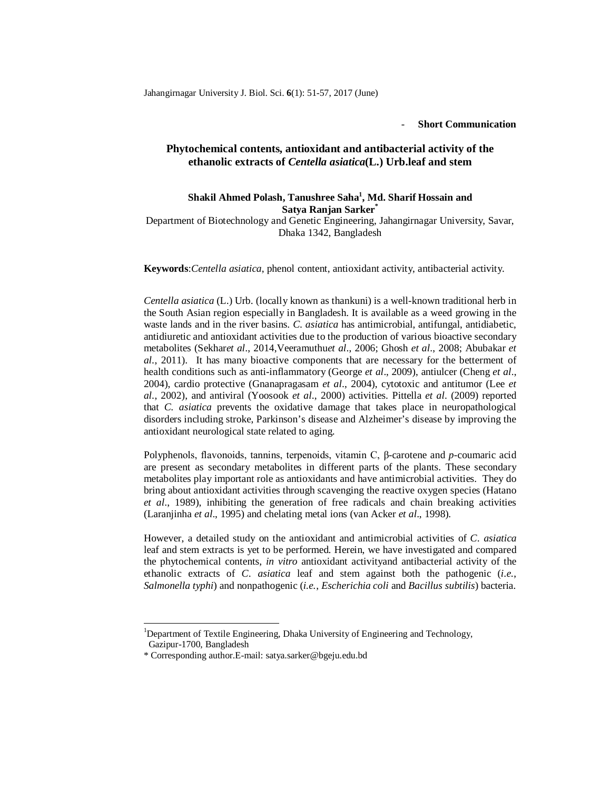## - **Short Communication**

## **Phytochemical contents, antioxidant and antibacterial activity of the ethanolic extracts of** *Centella asiatica***(L.) Urb.leaf and stem**

## **Shakil Ahmed Polash, Tanushree Saha<sup>1</sup> , Md. Sharif Hossain and Satya Ranjan Sarker\***

Department of Biotechnology and Genetic Engineering, Jahangirnagar University, Savar, Dhaka 1342, Bangladesh

**Keywords**:*Centella asiatica*, phenol content, antioxidant activity, antibacterial activity.

*Centella asiatica* (L.) Urb. (locally known as thankuni) is a well-known traditional herb in the South Asian region especially in Bangladesh. It is available as a weed growing in the waste lands and in the river basins. *C. asiatica* has antimicrobial, antifungal, antidiabetic, antidiuretic and antioxidant activities due to the production of various bioactive secondary metabolites (Sekhar*et al*., 2014,Veeramuthu*et al*., 2006; Ghosh *et al*., 2008; Abubakar *et al*., 2011). It has many bioactive components that are necessary for the betterment of health conditions such as anti-inflammatory (George *et al*., 2009), antiulcer (Cheng *et al*., 2004), cardio protective (Gnanapragasam *et al*., 2004), cytotoxic and antitumor (Lee *et al*., 2002), and antiviral (Yoosook *et al*., 2000) activities. Pittella *et al*. (2009) reported that *C. asiatica* prevents the oxidative damage that takes place in neuropathological disorders including stroke, Parkinson's disease and Alzheimer's disease by improving the antioxidant neurological state related to aging.

Polyphenols, flavonoids, tannins, terpenoids, vitamin C, β-carotene and *p*-coumaric acid are present as secondary metabolites in different parts of the plants. These secondary metabolites play important role as antioxidants and have antimicrobial activities. They do bring about antioxidant activities through scavenging the reactive oxygen species (Hatano *et al*., 1989), inhibiting the generation of free radicals and chain breaking activities (Laranjinha *et al*., 1995) and chelating metal ions (van Acker *et al*., 1998).

However, a detailed study on the antioxidant and antimicrobial activities of *C. asiatica* leaf and stem extracts is yet to be performed. Herein, we have investigated and compared the phytochemical contents, *in vitro* antioxidant activityand antibacterial activity of the ethanolic extracts of *C. asiatica* leaf and stem against both the pathogenic (*i.e.*, *Salmonella typhi*) and nonpathogenic (*i.e.*, *Escherichia coli* and *Bacillus subtilis*) bacteria.

1

<sup>1</sup>Department of Textile Engineering, Dhaka University of Engineering and Technology,

Gazipur-1700, Bangladesh

<sup>\*</sup> Corresponding author.E-mail: satya.sarker@bgeju.edu.bd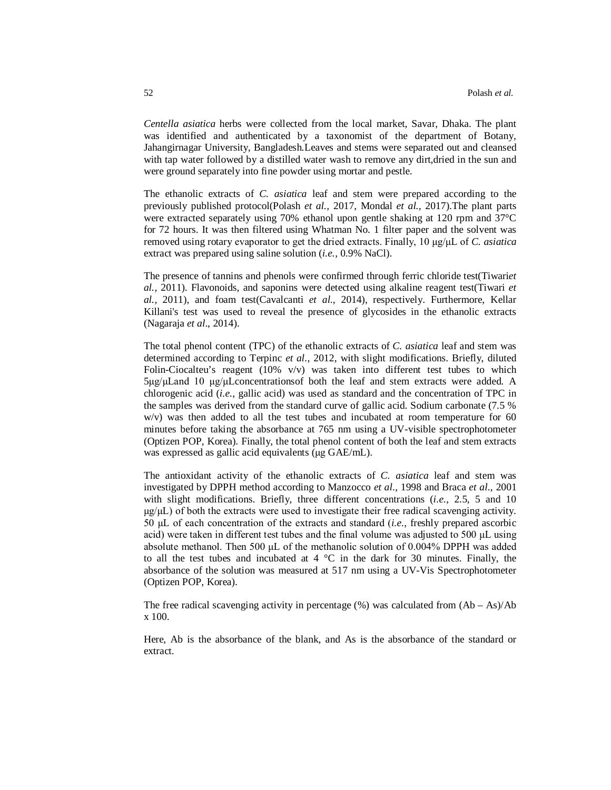*Centella asiatica* herbs were collected from the local market, Savar, Dhaka. The plant was identified and authenticated by a taxonomist of the department of Botany, Jahangirnagar University, Bangladesh.Leaves and stems were separated out and cleansed with tap water followed by a distilled water wash to remove any dirt,dried in the sun and were ground separately into fine powder using mortar and pestle.

The ethanolic extracts of *C. asiatica* leaf and stem were prepared according to the previously published protocol(Polash *et al.,* 2017, Mondal *et al.,* 2017).The plant parts were extracted separately using 70% ethanol upon gentle shaking at 120 rpm and 37°C for 72 hours. It was then filtered using Whatman No. 1 filter paper and the solvent was removed using rotary evaporator to get the dried extracts. Finally, 10 μg/μL of *C. asiatica* extract was prepared using saline solution (*i.e.*, 0.9% NaCl).

The presence of tannins and phenols were confirmed through ferric chloride test(Tiwari*et al.,* 2011). Flavonoids, and saponins were detected using alkaline reagent test(Tiwari *et al.,* 2011), and foam test(Cavalcanti *et al.,* 2014), respectively. Furthermore, Kellar Killani's test was used to reveal the presence of glycosides in the ethanolic extracts (Nagaraja *et al*., 2014).

The total phenol content (TPC) of the ethanolic extracts of *C. asiatica* leaf and stem was determined according to Terpinc *et al.,* 2012, with slight modifications. Briefly, diluted Folin-Ciocalteu's reagent (10%  $v/v$ ) was taken into different test tubes to which  $5\mu g/\mu$ Land 10  $\mu g/\mu$ Lconcentrations of both the leaf and stem extracts were added. A chlorogenic acid (*i.e.*, gallic acid) was used as standard and the concentration of TPC in the samples was derived from the standard curve of gallic acid. Sodium carbonate (7.5 % w/v) was then added to all the test tubes and incubated at room temperature for 60 minutes before taking the absorbance at 765 nm using a UV-visible spectrophotometer (Optizen POP, Korea). Finally, the total phenol content of both the leaf and stem extracts was expressed as gallic acid equivalents (μg GAE/mL).

The antioxidant activity of the ethanolic extracts of *C. asiatica* leaf and stem was investigated by DPPH method according to Manzocco *et al*., 1998 and Braca *et al*., 2001 with slight modifications. Briefly, three different concentrations (*i.e.*, 2.5, 5 and 10  $\mu$ g/ $\mu$ L) of both the extracts were used to investigate their free radical scavenging activity. 50 μL of each concentration of the extracts and standard (*i.e.*, freshly prepared ascorbic acid) were taken in different test tubes and the final volume was adjusted to 500 μL using absolute methanol. Then 500 μL of the methanolic solution of 0.004% DPPH was added to all the test tubes and incubated at  $4 \degree C$  in the dark for 30 minutes. Finally, the absorbance of the solution was measured at 517 nm using a UV-Vis Spectrophotometer (Optizen POP, Korea).

The free radical scavenging activity in percentage  $(\%)$  was calculated from  $(Ab - As)/Ab$ x 100.

Here, Ab is the absorbance of the blank, and As is the absorbance of the standard or extract.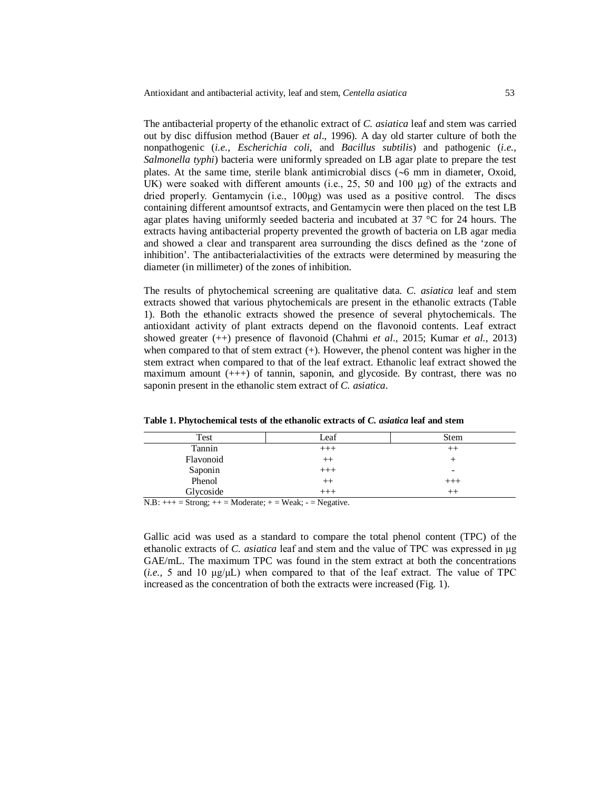The antibacterial property of the ethanolic extract of *C. asiatica* leaf and stem was carried out by disc diffusion method (Bauer *et al*., 1996). A day old starter culture of both the nonpathogenic (*i.e.*, *Escherichia coli*, and *Bacillus subtilis*) and pathogenic (*i.e.*, *Salmonella typhi*) bacteria were uniformly spreaded on LB agar plate to prepare the test plates. At the same time, sterile blank antimicrobial discs  $({\sim}6 \text{ mm in diameter, Oxoid,})$ UK) were soaked with different amounts (i.e., 25, 50 and 100  $\mu$ g) of the extracts and dried properly. Gentamycin (i.e., 100μg) was used as a positive control. The discs containing different amountsof extracts, and Gentamycin were then placed on the test LB agar plates having uniformly seeded bacteria and incubated at 37 °C for 24 hours. The extracts having antibacterial property prevented the growth of bacteria on LB agar media and showed a clear and transparent area surrounding the discs defined as the 'zone of inhibition'. The antibacterialactivities of the extracts were determined by measuring the diameter (in millimeter) of the zones of inhibition.

The results of phytochemical screening are qualitative data. *C. asiatica* leaf and stem extracts showed that various phytochemicals are present in the ethanolic extracts (Table 1). Both the ethanolic extracts showed the presence of several phytochemicals. The antioxidant activity of plant extracts depend on the flavonoid contents. Leaf extract showed greater (++) presence of flavonoid (Chahmi *et al*., 2015; Kumar *et al.*, 2013) when compared to that of stem extract (+). However, the phenol content was higher in the stem extract when compared to that of the leaf extract. Ethanolic leaf extract showed the maximum amount  $(++)$  of tannin, saponin, and glycoside. By contrast, there was no saponin present in the ethanolic stem extract of *C. asiatica*.

| Test                                                                                          | Leaf         | Stem                     |
|-----------------------------------------------------------------------------------------------|--------------|--------------------------|
| Tannin                                                                                        | $+++$        | $^{++}$                  |
| Flavonoid                                                                                     | $^{++}$      |                          |
| Saponin                                                                                       | $+++$        | $\overline{\phantom{0}}$ |
| Phenol                                                                                        | $^{++}$      | $^{+++}$                 |
| Glycoside<br>____<br>the contract of the contract of the<br>the company's company's company's | $++$<br>____ |                          |

**Table 1. Phytochemical tests of the ethanolic extracts of** *C. asiatica* **leaf and stem**

 $N.B: +++=$  Strong;  $++$  = Moderate;  $+=$  Weak;  $-$  = Negative.

Gallic acid was used as a standard to compare the total phenol content (TPC) of the ethanolic extracts of *C. asiatica* leaf and stem and the value of TPC was expressed in μg GAE/mL. The maximum TPC was found in the stem extract at both the concentrations (*i.e.*, 5 and 10 μg/μL) when compared to that of the leaf extract. The value of TPC increased as the concentration of both the extracts were increased (Fig. 1).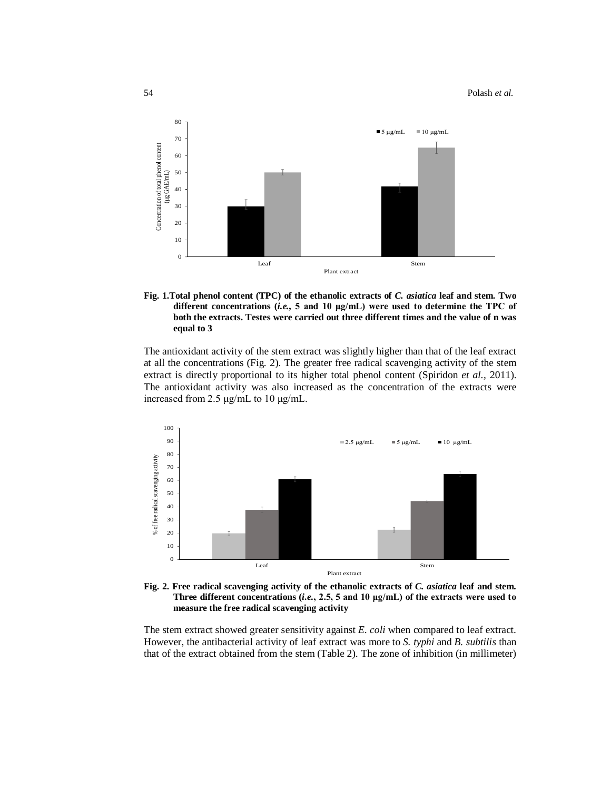

**Fig. 1.Total phenol content (TPC) of the ethanolic extracts of** *C. asiatica* **leaf and stem. Two different concentrations (***i.e.,* **5 and 10 μg/mL) were used to determine the TPC of both the extracts. Testes were carried out three different times and the value of n was equal to 3**

The antioxidant activity of the stem extract was slightly higher than that of the leaf extract at all the concentrations (Fig. 2). The greater free radical scavenging activity of the stem extract is directly proportional to its higher total phenol content (Spiridon *et al.,* 2011). The antioxidant activity was also increased as the concentration of the extracts were increased from 2.5 μg/mL to 10 μg/mL.



**Fig. 2. Free radical scavenging activity of the ethanolic extracts of** *C. asiatica* **leaf and stem. Three different concentrations (***i.e.***, 2.5, 5 and 10 μg/mL) of the extracts were used to measure the free radical scavenging activity**

The stem extract showed greater sensitivity against *E. coli* when compared to leaf extract. However, the antibacterial activity of leaf extract was more to *S. typhi* and *B. subtilis* than that of the extract obtained from the stem (Table 2). The zone of inhibition (in millimeter)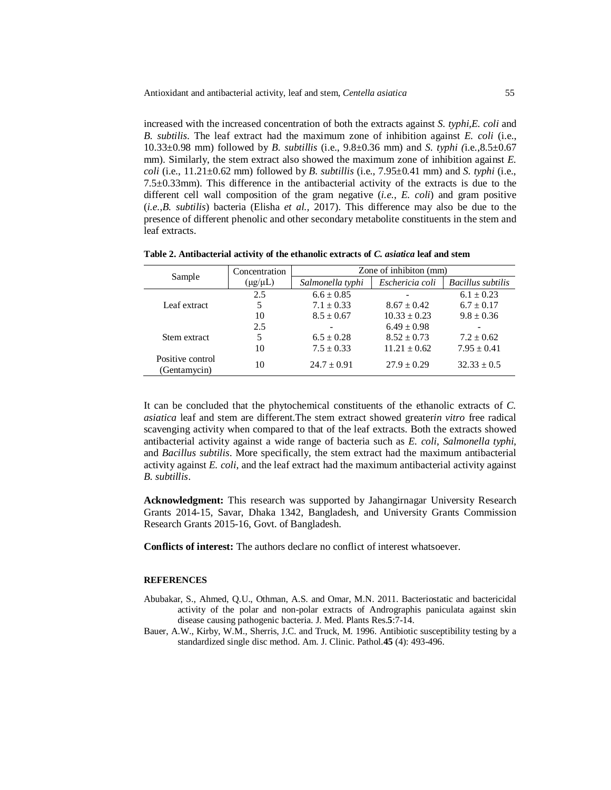increased with the increased concentration of both the extracts against *S. typhi,E. coli* and *B. subtilis*. The leaf extract had the maximum zone of inhibition against *E. coli* (i.e., 10.33±0.98 mm) followed by *B. subtillis* (i.e., 9.8±0.36 mm) and *S. typhi (*i.e.,8.5±0.67 mm). Similarly, the stem extract also showed the maximum zone of inhibition against *E. coli* (i.e., 11.21±0.62 mm) followed by *B. subtillis* (i.e., 7.95±0.41 mm) and *S. typhi* (i.e., 7.5 $\pm$ 0.33mm). This difference in the antibacterial activity of the extracts is due to the different cell wall composition of the gram negative (*i.e.*, *E. coli*) and gram positive (*i.e.*,*B. subtilis*) bacteria (Elisha *et al.,* 2017). This difference may also be due to the presence of different phenolic and other secondary metabolite constituents in the stem and leaf extracts.

|                                  | Concentration | Zone of inhibiton (mm) |                  |                          |
|----------------------------------|---------------|------------------------|------------------|--------------------------|
| Sample                           | (µg/µL)       | Salmonella typhi       | Eschericia coli  | <b>Bacillus</b> subtilis |
| Leaf extract                     | 2.5           | $6.6 \pm 0.85$         |                  | $6.1 \pm 0.23$           |
|                                  |               | $7.1 \pm 0.33$         | $8.67 \pm 0.42$  | $6.7 \pm 0.17$           |
|                                  | 10            | $8.5 \pm 0.67$         | $10.33 \pm 0.23$ | $9.8 \pm 0.36$           |
| Stem extract                     | 2.5           |                        | $6.49 \pm 0.98$  |                          |
|                                  | 5             | $6.5 \pm 0.28$         | $8.52 \pm 0.73$  | $7.2 \pm 0.62$           |
|                                  | 10            | $7.5 + 0.33$           | $11.21 \pm 0.62$ | $7.95 \pm 0.41$          |
| Positive control<br>(Gentamycin) | 10            | $24.7 \pm 0.91$        | $27.9 \pm 0.29$  | $32.33 \pm 0.5$          |

**Table 2. Antibacterial activity of the ethanolic extracts of** *C. asiatica* **leaf and stem**

It can be concluded that the phytochemical constituents of the ethanolic extracts of *C. asiatica* leaf and stem are different.The stem extract showed greater*in vitro* free radical scavenging activity when compared to that of the leaf extracts. Both the extracts showed antibacterial activity against a wide range of bacteria such as *E. coli*, *Salmonella typhi*, and *Bacillus subtilis*. More specifically, the stem extract had the maximum antibacterial activity against *E. coli*, and the leaf extract had the maximum antibacterial activity against *B. subtillis*.

**Acknowledgment:** This research was supported by Jahangirnagar University Research Grants 2014-15, Savar, Dhaka 1342, Bangladesh, and University Grants Commission Research Grants 2015-16, Govt. of Bangladesh.

**Conflicts of interest:** The authors declare no conflict of interest whatsoever.

## **REFERENCES**

- Abubakar, S., Ahmed, Q.U., Othman, A.S. and Omar, M.N. 2011. Bacteriostatic and bactericidal activity of the polar and non-polar extracts of Andrographis paniculata against skin disease causing pathogenic bacteria. J. Med. Plants Res.**5**:7-14.
- Bauer, A.W., Kirby, W.M., Sherris, J.C. and Truck, M. 1996. Antibiotic susceptibility testing by a standardized single disc method. Am. J. Clinic. Pathol.**45** (4): 493-496.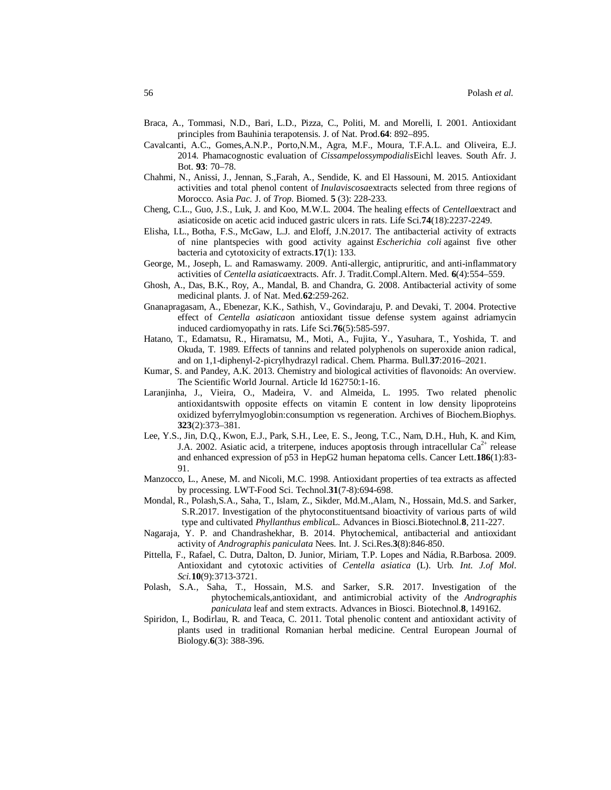- Braca, A., Tommasi, N.D., Bari, L.D., Pizza, C., Politi, M. and Morelli, I. 2001. Antioxidant principles from Bauhinia terapotensis. J. of Nat. Prod.**64**: 892–895.
- Cavalcanti, A.C., Gomes,A.N.P., Porto,N.M., Agra, M.F., Moura, T.F.A.L. and Oliveira, E.J. 2014. Phamacognostic evaluation of *Cissampelossympodialis*Eichl leaves. South Afr. J. Bot. **93**: 70–78.
- Chahmi, N., Anissi, J., Jennan, S.,Farah, A., Sendide, K. and El Hassouni, M. 2015. Antioxidant activities and total phenol content of *Inulaviscosa*extracts selected from three regions of Morocco. Asia *Pac.* J. of *Trop.* Biomed. **5** (3): 228-233.
- Cheng, C.L., Guo, J.S., Luk, J. and Koo, M.W.L. 2004. The healing effects of *Centella*extract and asiaticoside on acetic acid induced gastric ulcers in rats. Life Sci.**74**(18):2237-2249.
- Elisha, I.L., Botha, F.S., McGaw, L.J. and Eloff, J.N.2017. The antibacterial activity of extracts of nine plantspecies with good activity against *Escherichia coli* against five other bacteria and cytotoxicity of extracts.**17**(1): 133.
- George, M., Joseph, L. and Ramaswamy. 2009. Anti-allergic, antipruritic, and anti-inflammatory activities of *Centella asiatica*extracts. Afr. J. Tradit.Compl.Altern. Med. **6**(4):554–559.
- Ghosh, A., Das, B.K., Roy, A., Mandal, B. and Chandra, G. 2008. Antibacterial activity of some medicinal plants. J. of Nat. Med.**62**:259-262.
- Gnanapragasam, A., Ebenezar, K.K., Sathish, V., Govindaraju, P. and Devaki, T. 2004. Protective effect of *Centella asiatica*on antioxidant tissue defense system against adriamycin induced cardiomyopathy in rats. Life Sci.**76**(5):585-597.
- Hatano, T., Edamatsu, R., Hiramatsu, M., Moti, A., Fujita, Y., Yasuhara, T., Yoshida, T. and Okuda, T. 1989. Effects of tannins and related polyphenols on superoxide anion radical, and on 1,1-diphenyl-2-picrylhydrazyl radical. Chem. Pharma. Bull.**37**:2016–2021.
- Kumar, S. and Pandey, A.K. 2013. Chemistry and biological activities of flavonoids: An overview. The Scientific World Journal. Article Id 162750:1-16.
- Laranjinha, J., Vieira, O., Madeira, V. and Almeida, L. 1995. Two related phenolic antioxidantswith opposite effects on vitamin E content in low density lipoproteins oxidized byferrylmyoglobin:consumption vs regeneration. Archives of Biochem.Biophys. **323**(2):373–381.
- Lee, Y.S., Jin, D.Q., Kwon, E.J., Park, S.H., Lee, E. S., Jeong, T.C., Nam, D.H., Huh, K. and Kim, J.A. 2002. Asiatic acid, a triterpene, induces apoptosis through intracellular  $Ca^{2+}$  release and enhanced expression of p53 in HepG2 human hepatoma cells. Cancer Lett.**186**(1):83- 91.
- Manzocco, L., Anese, M. and Nicoli, M.C. 1998. Antioxidant properties of tea extracts as affected by processing. LWT-Food Sci. Technol.**31**(7-8):694-698.
- Mondal, R., Polash,S.A., Saha, T., Islam, Z., Sikder, Md.M.,Alam, N., Hossain, Md.S. and Sarker, S.R.2017. Investigation of the phytoconstituentsand bioactivity of various parts of wild type and cultivated *Phyllanthus emblica*L. Advances in Biosci.Biotechnol.**8**, 211-227.
- Nagaraja, Y. P. and Chandrashekhar, B. 2014. Phytochemical, antibacterial and antioxidant activity of *Andrographis paniculata* Nees. Int. J. Sci.Res.**3**(8):846-850.
- Pittella, F., Rafael, C. Dutra, Dalton, D. Junior, Miriam, T.P. Lopes and Nádia, R.Barbosa. 2009. Antioxidant and cytotoxic activities of *Centella asiatica* (L). Urb. *Int. J.of Mol. Sci.***10**(9):3713-3721.
- Polash, S.A., Saha, T., Hossain, M.S. and Sarker, S.R. 2017. Investigation of the phytochemicals,antioxidant, and antimicrobial activity of the *Andrographis paniculata* leaf and stem extracts. Advances in Biosci. Biotechnol.**8**, 149162.
- Spiridon, I., Bodirlau, R. and Teaca, C. 2011. Total phenolic content and antioxidant activity of plants used in traditional Romanian herbal medicine. Central European Journal of Biology.**6**(3): 388-396.